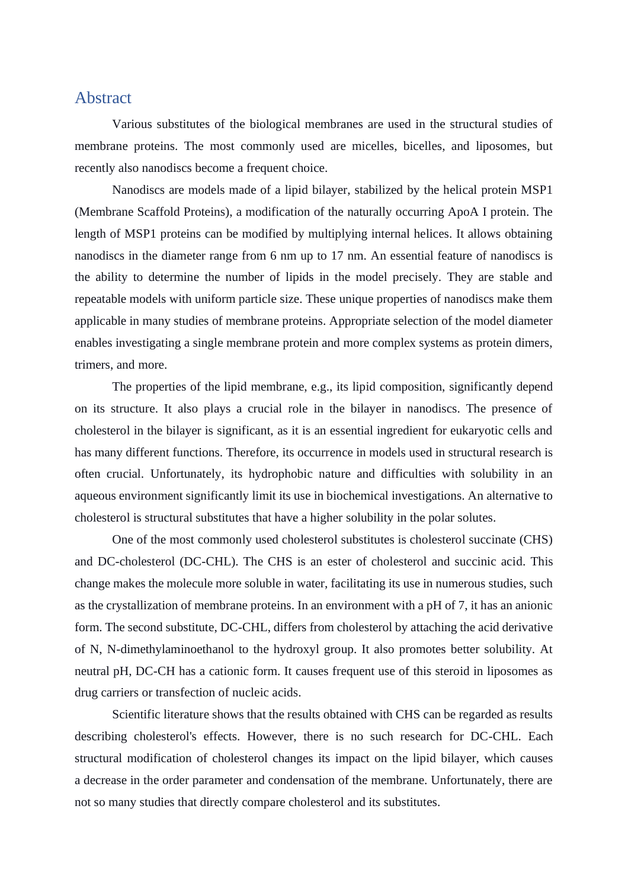## Abstract

Various substitutes of the biological membranes are used in the structural studies of membrane proteins. The most commonly used are micelles, bicelles, and liposomes, but recently also nanodiscs become a frequent choice.

Nanodiscs are models made of a lipid bilayer, stabilized by the helical protein MSP1 (Membrane Scaffold Proteins), a modification of the naturally occurring ApoA I protein. The length of MSP1 proteins can be modified by multiplying internal helices. It allows obtaining nanodiscs in the diameter range from 6 nm up to 17 nm. An essential feature of nanodiscs is the ability to determine the number of lipids in the model precisely. They are stable and repeatable models with uniform particle size. These unique properties of nanodiscs make them applicable in many studies of membrane proteins. Appropriate selection of the model diameter enables investigating a single membrane protein and more complex systems as protein dimers, trimers, and more.

The properties of the lipid membrane, e.g., its lipid composition, significantly depend on its structure. It also plays a crucial role in the bilayer in nanodiscs. The presence of cholesterol in the bilayer is significant, as it is an essential ingredient for eukaryotic cells and has many different functions. Therefore, its occurrence in models used in structural research is often crucial. Unfortunately, its hydrophobic nature and difficulties with solubility in an aqueous environment significantly limit its use in biochemical investigations. An alternative to cholesterol is structural substitutes that have a higher solubility in the polar solutes.

One of the most commonly used cholesterol substitutes is cholesterol succinate (CHS) and DC-cholesterol (DC-CHL). The CHS is an ester of cholesterol and succinic acid. This change makes the molecule more soluble in water, facilitating its use in numerous studies, such as the crystallization of membrane proteins. In an environment with a pH of 7, it has an anionic form. The second substitute, DC-CHL, differs from cholesterol by attaching the acid derivative of N, N-dimethylaminoethanol to the hydroxyl group. It also promotes better solubility. At neutral pH, DC-CH has a cationic form. It causes frequent use of this steroid in liposomes as drug carriers or transfection of nucleic acids.

Scientific literature shows that the results obtained with CHS can be regarded as results describing cholesterol's effects. However, there is no such research for DC-CHL. Each structural modification of cholesterol changes its impact on the lipid bilayer, which causes a decrease in the order parameter and condensation of the membrane. Unfortunately, there are not so many studies that directly compare cholesterol and its substitutes.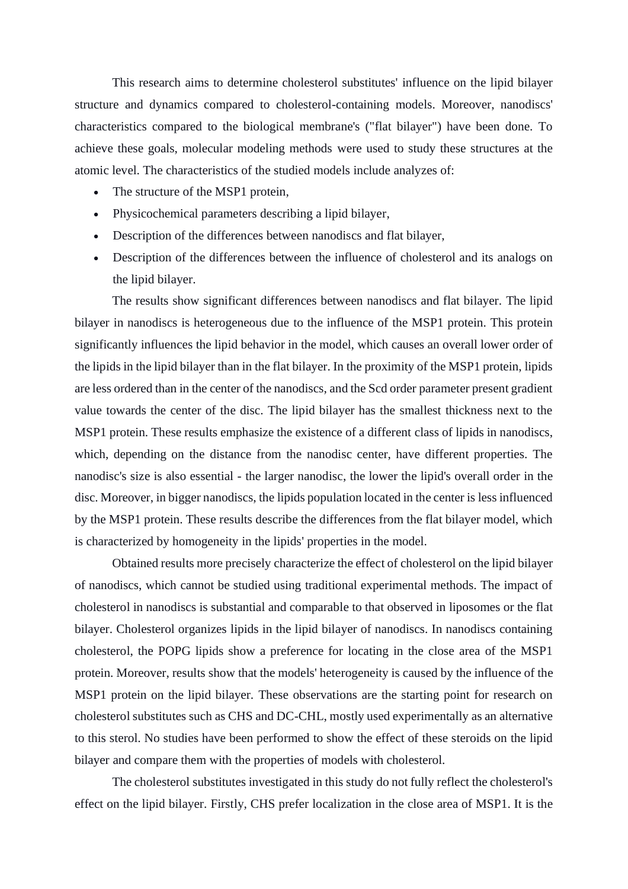This research aims to determine cholesterol substitutes' influence on the lipid bilayer structure and dynamics compared to cholesterol-containing models. Moreover, nanodiscs' characteristics compared to the biological membrane's ("flat bilayer") have been done. To achieve these goals, molecular modeling methods were used to study these structures at the atomic level. The characteristics of the studied models include analyzes of:

- The structure of the MSP1 protein,
- Physicochemical parameters describing a lipid bilayer,
- Description of the differences between nanodiscs and flat bilayer,
- Description of the differences between the influence of cholesterol and its analogs on the lipid bilayer.

The results show significant differences between nanodiscs and flat bilayer. The lipid bilayer in nanodiscs is heterogeneous due to the influence of the MSP1 protein. This protein significantly influences the lipid behavior in the model, which causes an overall lower order of the lipids in the lipid bilayer than in the flat bilayer. In the proximity of the MSP1 protein, lipids are less ordered than in the center of the nanodiscs, and the Scd order parameter present gradient value towards the center of the disc. The lipid bilayer has the smallest thickness next to the MSP1 protein. These results emphasize the existence of a different class of lipids in nanodiscs, which, depending on the distance from the nanodisc center, have different properties. The nanodisc's size is also essential - the larger nanodisc, the lower the lipid's overall order in the disc. Moreover, in bigger nanodiscs, the lipids population located in the center is less influenced by the MSP1 protein. These results describe the differences from the flat bilayer model, which is characterized by homogeneity in the lipids' properties in the model.

Obtained results more precisely characterize the effect of cholesterol on the lipid bilayer of nanodiscs, which cannot be studied using traditional experimental methods. The impact of cholesterol in nanodiscs is substantial and comparable to that observed in liposomes or the flat bilayer. Cholesterol organizes lipids in the lipid bilayer of nanodiscs. In nanodiscs containing cholesterol, the POPG lipids show a preference for locating in the close area of the MSP1 protein. Moreover, results show that the models' heterogeneity is caused by the influence of the MSP1 protein on the lipid bilayer. These observations are the starting point for research on cholesterol substitutes such as CHS and DC-CHL, mostly used experimentally as an alternative to this sterol. No studies have been performed to show the effect of these steroids on the lipid bilayer and compare them with the properties of models with cholesterol.

The cholesterol substitutes investigated in this study do not fully reflect the cholesterol's effect on the lipid bilayer. Firstly, CHS prefer localization in the close area of MSP1. It is the